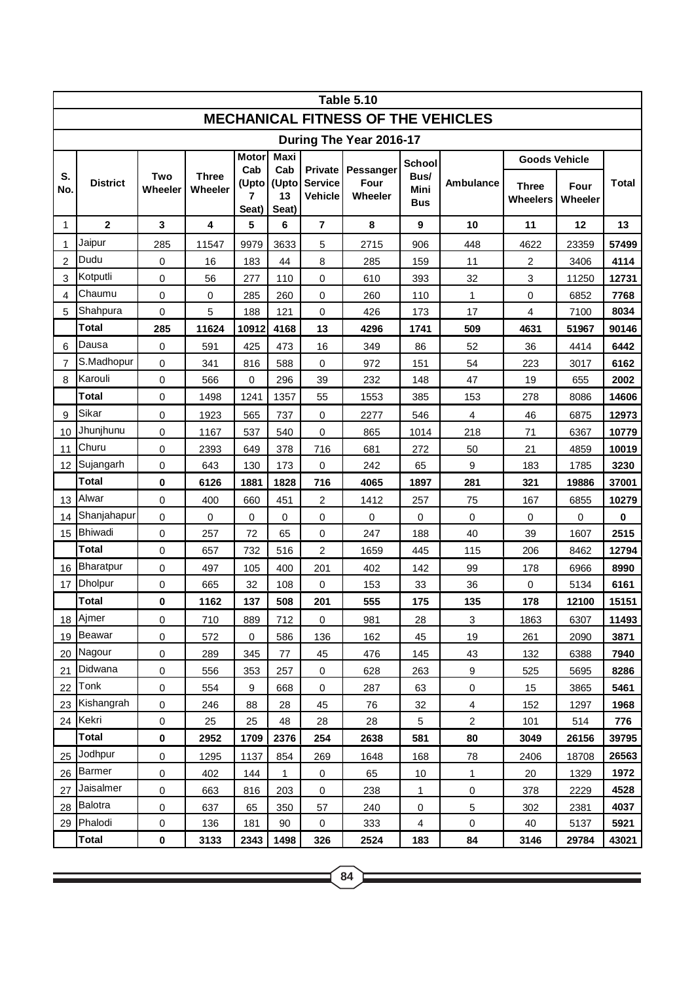|                                           | <b>Table 5.10</b>    |                |                         |                            |                             |                                                    |                              |                            |                         |                          |                 |             |
|-------------------------------------------|----------------------|----------------|-------------------------|----------------------------|-----------------------------|----------------------------------------------------|------------------------------|----------------------------|-------------------------|--------------------------|-----------------|-------------|
| <b>MECHANICAL FITNESS OF THE VEHICLES</b> |                      |                |                         |                            |                             |                                                    |                              |                            |                         |                          |                 |             |
| During The Year 2016-17                   |                      |                |                         |                            |                             |                                                    |                              |                            |                         |                          |                 |             |
|                                           | <b>Motor</b><br>Maxi |                |                         |                            |                             |                                                    |                              | <b>School</b>              |                         | <b>Goods Vehicle</b>     |                 |             |
| S.<br>No.                                 | <b>District</b>      | Two<br>Wheeler | <b>Three</b><br>Wheeler | Cab<br>(Upto<br>7<br>Seat) | Cab<br>(Upto<br>13<br>Seat) | <b>Private</b><br><b>Service</b><br><b>Vehicle</b> | Pessanger<br>Four<br>Wheeler | Bus/<br><b>Mini</b><br>Bus | <b>Ambulance</b>        | <b>Three</b><br>Wheelers | Four<br>Wheeler | Total       |
| $\mathbf{1}$                              | $\overline{2}$       | 3              | 4                       | 5                          | 6                           | $\overline{7}$                                     | 8                            | 9                          | 10                      | 11                       | 12              | 13          |
| 1                                         | Jaipur               | 285            | 11547                   | 9979                       | 3633                        | 5                                                  | 2715                         | 906                        | 448                     | 4622                     | 23359           | 57499       |
| $\overline{2}$                            | Dudu                 | 0              | 16                      | 183                        | 44                          | 8                                                  | 285                          | 159                        | 11                      | $\overline{2}$           | 3406            | 4114        |
| 3                                         | Kotputli             | 0              | 56                      | 277                        | 110                         | 0                                                  | 610                          | 393                        | 32                      | 3                        | 11250           | 12731       |
| $\overline{4}$                            | Chaumu               | 0              | $\pmb{0}$               | 285                        | 260                         | 0                                                  | 260                          | 110                        | $\mathbf{1}$            | $\mathbf 0$              | 6852            | 7768        |
| 5                                         | Shahpura             | 0              | 5                       | 188                        | 121                         | 0                                                  | 426                          | 173                        | 17                      | 4                        | 7100            | 8034        |
|                                           | Total                | 285            | 11624                   | 10912                      | 4168                        | 13                                                 | 4296                         | 1741                       | 509                     | 4631                     | 51967           | 90146       |
| 6                                         | Dausa                | 0              | 591                     | 425                        | 473                         | 16                                                 | 349                          | 86                         | 52                      | 36                       | 4414            | 6442        |
| 7                                         | S.Madhopur           | 0              | 341                     | 816                        | 588                         | $\pmb{0}$                                          | 972                          | 151                        | 54                      | 223                      | 3017            | 6162        |
| 8                                         | Karouli              | 0              | 566                     | 0                          | 296                         | 39                                                 | 232                          | 148                        | 47                      | 19                       | 655             | 2002        |
|                                           | <b>Total</b>         | 0              | 1498                    | 1241                       | 1357                        | 55                                                 | 1553                         | 385                        | 153                     | 278                      | 8086            | 14606       |
| 9                                         | Sikar                | 0              | 1923                    | 565                        | 737                         | 0                                                  | 2277                         | 546                        | $\overline{\mathbf{4}}$ | 46                       | 6875            | 12973       |
| 10                                        | Jhunjhunu            | 0              | 1167                    | 537                        | 540                         | 0                                                  | 865                          | 1014                       | 218                     | 71                       | 6367            | 10779       |
| 11                                        | Churu                | 0              | 2393                    | 649                        | 378                         | 716                                                | 681                          | 272                        | 50                      | 21                       | 4859            | 10019       |
| 12                                        | Sujangarh            | 0              | 643                     | 130                        | 173                         | 0                                                  | 242                          | 65                         | 9                       | 183                      | 1785            | 3230        |
|                                           | Total                | 0              | 6126                    | 1881                       | 1828                        | 716                                                | 4065                         | 1897                       | 281                     | 321                      | 19886           | 37001       |
| 13                                        | Alwar                | 0              | 400                     | 660                        | 451                         | 2                                                  | 1412                         | 257                        | 75                      | 167                      | 6855            | 10279       |
| 14                                        | Shanjahapur          | 0              | 0                       | 0                          | 0                           | $\pmb{0}$                                          | 0                            | 0                          | $\mathbf 0$             | 0                        | 0               | $\mathbf 0$ |
| 15                                        | <b>Bhiwadi</b>       | 0              | 257                     | 72                         | 65                          | 0                                                  | 247                          | 188                        | 40                      | 39                       | 1607            | 2515        |
|                                           | <b>Total</b>         | 0              | 657                     | 732                        | 516                         | 2                                                  | 1659                         | 445                        | 115                     | 206                      | 8462            | 12794       |
| 16                                        | <b>Bharatpur</b>     | 0              | 497                     | 105                        | 400                         | 201                                                | 402                          | 142                        | 99                      | 178                      | 6966            | 8990        |
| 17                                        | <b>Dholpur</b>       | 0              | 665                     | 32                         | 108                         | 0                                                  | 153                          | 33                         | 36                      | 0                        | 5134            | 6161        |
|                                           | Total                | 0              | 1162                    | 137                        | 508                         | 201                                                | 555                          | 175                        | 135                     | 178                      | 12100           | 15151       |
| 18                                        | Ajmer                | 0              | 710                     | 889                        | 712                         | $\pmb{0}$                                          | 981                          | 28                         | 3                       | 1863                     | 6307            | 11493       |
| 19                                        | Beawar               | 0              | 572                     | $\pmb{0}$                  | 586                         | 136                                                | 162                          | 45                         | 19                      | 261                      | 2090            | 3871        |
| 20 I                                      | Nagour               | 0              | 289                     | 345                        | 77                          | 45                                                 | 476                          | 145                        | 43                      | 132                      | 6388            | 7940        |
| 21                                        | Didwana              | 0              | 556                     | 353                        | 257                         | 0                                                  | 628                          | 263                        | 9                       | 525                      | 5695            | 8286        |
| 22                                        | Tonk                 | 0              | 554                     | $\boldsymbol{9}$           | 668                         | $\mathbf 0$                                        | 287                          | 63                         | $\mathsf 0$             | 15                       | 3865            | 5461        |
| 23                                        | Kishangrah           | $\mathsf 0$    | 246                     | 88                         | 28                          | 45                                                 | 76                           | 32                         | 4                       | 152                      | 1297            | 1968        |
| 24                                        | Kekri                | 0              | 25                      | 25                         | 48                          | 28                                                 | 28                           | 5                          | $\overline{2}$          | 101                      | 514             | 776         |
|                                           | <b>Total</b>         | 0              | 2952                    | 1709                       | 2376                        | 254                                                | 2638                         | 581                        | 80                      | 3049                     | 26156           | 39795       |
| 25                                        | Jodhpur              | 0              | 1295                    | 1137                       | 854                         | 269                                                | 1648                         | 168                        | 78                      | 2406                     | 18708           | 26563       |
| 26                                        | Barmer               | 0              | 402                     | 144                        | $\mathbf{1}$                | $\pmb{0}$                                          | 65                           | 10                         | 1                       | 20                       | 1329            | 1972        |
| 27                                        | Jaisalmer            | 0              | 663                     | 816                        | 203                         | $\pmb{0}$                                          | 238                          | 1                          | 0                       | 378                      | 2229            | 4528        |
| 28                                        | Balotra              | 0              | 637                     | 65                         | 350                         | 57                                                 | 240                          | 0                          | 5                       | 302                      | 2381            | 4037        |
| 29                                        | Phalodi              | 0              | 136                     | 181                        | 90                          | 0                                                  | 333                          | 4                          | 0                       | 40                       | 5137            | 5921        |
|                                           | <b>Total</b>         | 0              | 3133                    | 2343                       | 1498                        | 326                                                | 2524                         | 183                        | 84                      | 3146                     | 29784           | 43021       |

<u> 1989 - Johann Stein, marwolaethau a bhann an t-Amhair an t-Amhair an t-Amhair an t-Amhair an t-Amhair an t-A</u>